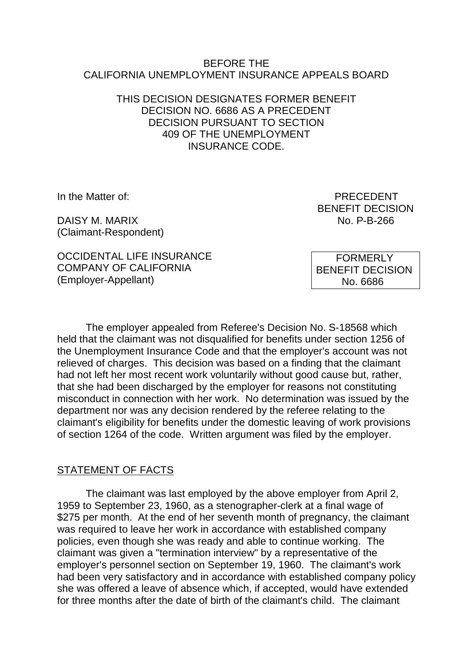#### BEFORE THE CALIFORNIA UNEMPLOYMENT INSURANCE APPEALS BOARD

### THIS DECISION DESIGNATES FORMER BENEFIT DECISION NO. 6686 AS A PRECEDENT DECISION PURSUANT TO SECTION 409 OF THE UNEMPLOYMENT INSURANCE CODE.

DAISY M. MARIX NO. P-B-266 (Claimant-Respondent)

In the Matter of: **PRECEDENT** BENEFIT DECISION

OCCIDENTAL LIFE INSURANCE COMPANY OF CALIFORNIA (Employer-Appellant)

 FORMERLY BENEFIT DECISION No. 6686

The employer appealed from Referee's Decision No. S-18568 which held that the claimant was not disqualified for benefits under section 1256 of the Unemployment Insurance Code and that the employer's account was not relieved of charges. This decision was based on a finding that the claimant had not left her most recent work voluntarily without good cause but, rather, that she had been discharged by the employer for reasons not constituting misconduct in connection with her work. No determination was issued by the department nor was any decision rendered by the referee relating to the claimant's eligibility for benefits under the domestic leaving of work provisions of section 1264 of the code. Written argument was filed by the employer.

## STATEMENT OF FACTS

The claimant was last employed by the above employer from April 2, 1959 to September 23, 1960, as a stenographer-clerk at a final wage of \$275 per month. At the end of her seventh month of pregnancy, the claimant was required to leave her work in accordance with established company policies, even though she was ready and able to continue working. The claimant was given a "termination interview" by a representative of the employer's personnel section on September 19, 1960. The claimant's work had been very satisfactory and in accordance with established company policy she was offered a leave of absence which, if accepted, would have extended for three months after the date of birth of the claimant's child. The claimant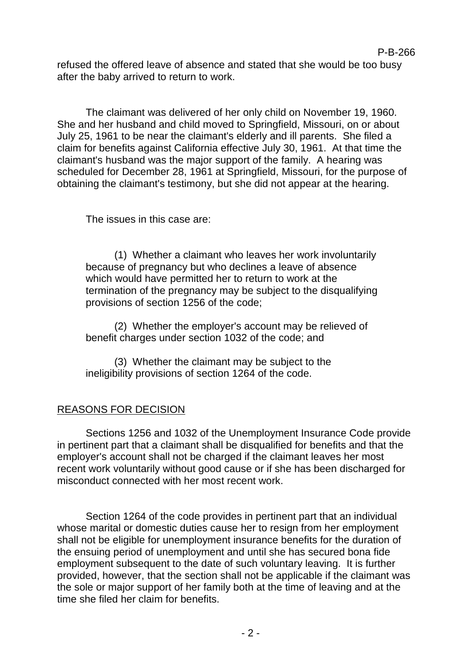refused the offered leave of absence and stated that she would be too busy after the baby arrived to return to work.

P-B-266

The claimant was delivered of her only child on November 19, 1960. She and her husband and child moved to Springfield, Missouri, on or about July 25, 1961 to be near the claimant's elderly and ill parents. She filed a claim for benefits against California effective July 30, 1961. At that time the claimant's husband was the major support of the family. A hearing was scheduled for December 28, 1961 at Springfield, Missouri, for the purpose of obtaining the claimant's testimony, but she did not appear at the hearing.

The issues in this case are:

(1) Whether a claimant who leaves her work involuntarily because of pregnancy but who declines a leave of absence which would have permitted her to return to work at the termination of the pregnancy may be subject to the disqualifying provisions of section 1256 of the code;

(2) Whether the employer's account may be relieved of benefit charges under section 1032 of the code; and

(3) Whether the claimant may be subject to the ineligibility provisions of section 1264 of the code.

## REASONS FOR DECISION

Sections 1256 and 1032 of the Unemployment Insurance Code provide in pertinent part that a claimant shall be disqualified for benefits and that the employer's account shall not be charged if the claimant leaves her most recent work voluntarily without good cause or if she has been discharged for misconduct connected with her most recent work.

Section 1264 of the code provides in pertinent part that an individual whose marital or domestic duties cause her to resign from her employment shall not be eligible for unemployment insurance benefits for the duration of the ensuing period of unemployment and until she has secured bona fide employment subsequent to the date of such voluntary leaving. It is further provided, however, that the section shall not be applicable if the claimant was the sole or major support of her family both at the time of leaving and at the time she filed her claim for benefits.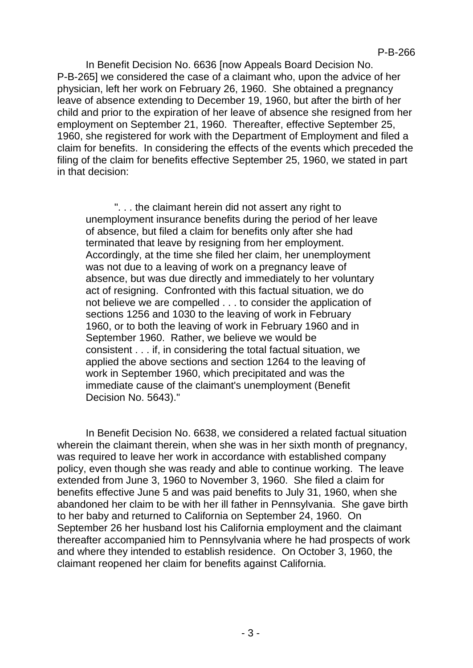In Benefit Decision No. 6636 [now Appeals Board Decision No. P-B-265] we considered the case of a claimant who, upon the advice of her physician, left her work on February 26, 1960. She obtained a pregnancy leave of absence extending to December 19, 1960, but after the birth of her child and prior to the expiration of her leave of absence she resigned from her employment on September 21, 1960. Thereafter, effective September 25, 1960, she registered for work with the Department of Employment and filed a claim for benefits. In considering the effects of the events which preceded the filing of the claim for benefits effective September 25, 1960, we stated in part in that decision:

". . . the claimant herein did not assert any right to unemployment insurance benefits during the period of her leave of absence, but filed a claim for benefits only after she had terminated that leave by resigning from her employment. Accordingly, at the time she filed her claim, her unemployment was not due to a leaving of work on a pregnancy leave of absence, but was due directly and immediately to her voluntary act of resigning. Confronted with this factual situation, we do not believe we are compelled . . . to consider the application of sections 1256 and 1030 to the leaving of work in February 1960, or to both the leaving of work in February 1960 and in September 1960. Rather, we believe we would be consistent . . . if, in considering the total factual situation, we applied the above sections and section 1264 to the leaving of work in September 1960, which precipitated and was the immediate cause of the claimant's unemployment (Benefit Decision No. 5643)."

In Benefit Decision No. 6638, we considered a related factual situation wherein the claimant therein, when she was in her sixth month of pregnancy, was required to leave her work in accordance with established company policy, even though she was ready and able to continue working. The leave extended from June 3, 1960 to November 3, 1960. She filed a claim for benefits effective June 5 and was paid benefits to July 31, 1960, when she abandoned her claim to be with her ill father in Pennsylvania. She gave birth to her baby and returned to California on September 24, 1960. On September 26 her husband lost his California employment and the claimant thereafter accompanied him to Pennsylvania where he had prospects of work and where they intended to establish residence. On October 3, 1960, the claimant reopened her claim for benefits against California.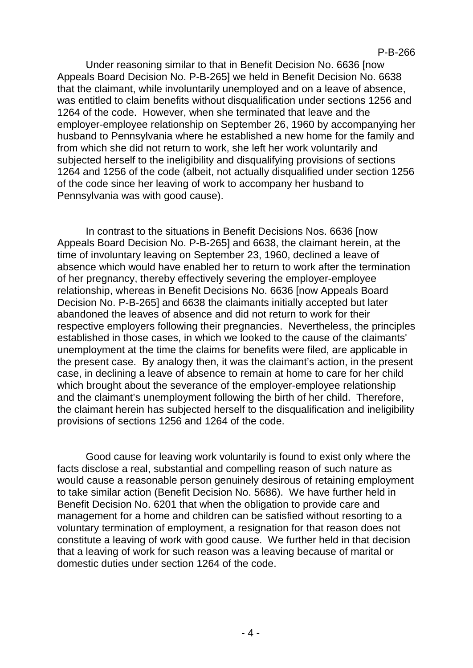Under reasoning similar to that in Benefit Decision No. 6636 [now Appeals Board Decision No. P-B-265] we held in Benefit Decision No. 6638 that the claimant, while involuntarily unemployed and on a leave of absence, was entitled to claim benefits without disqualification under sections 1256 and 1264 of the code. However, when she terminated that leave and the employer-employee relationship on September 26, 1960 by accompanying her husband to Pennsylvania where he established a new home for the family and from which she did not return to work, she left her work voluntarily and subjected herself to the ineligibility and disqualifying provisions of sections 1264 and 1256 of the code (albeit, not actually disqualified under section 1256 of the code since her leaving of work to accompany her husband to Pennsylvania was with good cause).

In contrast to the situations in Benefit Decisions Nos. 6636 [now Appeals Board Decision No. P-B-265] and 6638, the claimant herein, at the time of involuntary leaving on September 23, 1960, declined a leave of absence which would have enabled her to return to work after the termination of her pregnancy, thereby effectively severing the employer-employee relationship, whereas in Benefit Decisions No. 6636 [now Appeals Board Decision No. P-B-265] and 6638 the claimants initially accepted but later abandoned the leaves of absence and did not return to work for their respective employers following their pregnancies. Nevertheless, the principles established in those cases, in which we looked to the cause of the claimants' unemployment at the time the claims for benefits were filed, are applicable in the present case. By analogy then, it was the claimant's action, in the present case, in declining a leave of absence to remain at home to care for her child which brought about the severance of the employer-employee relationship and the claimant's unemployment following the birth of her child. Therefore, the claimant herein has subjected herself to the disqualification and ineligibility provisions of sections 1256 and 1264 of the code.

Good cause for leaving work voluntarily is found to exist only where the facts disclose a real, substantial and compelling reason of such nature as would cause a reasonable person genuinely desirous of retaining employment to take similar action (Benefit Decision No. 5686). We have further held in Benefit Decision No. 6201 that when the obligation to provide care and management for a home and children can be satisfied without resorting to a voluntary termination of employment, a resignation for that reason does not constitute a leaving of work with good cause. We further held in that decision that a leaving of work for such reason was a leaving because of marital or domestic duties under section 1264 of the code.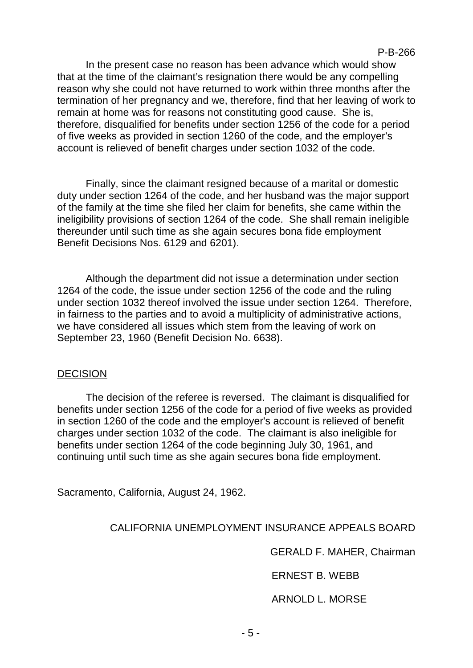In the present case no reason has been advance which would show that at the time of the claimant's resignation there would be any compelling reason why she could not have returned to work within three months after the termination of her pregnancy and we, therefore, find that her leaving of work to remain at home was for reasons not constituting good cause. She is, therefore, disqualified for benefits under section 1256 of the code for a period of five weeks as provided in section 1260 of the code, and the employer's account is relieved of benefit charges under section 1032 of the code.

Finally, since the claimant resigned because of a marital or domestic duty under section 1264 of the code, and her husband was the major support of the family at the time she filed her claim for benefits, she came within the ineligibility provisions of section 1264 of the code. She shall remain ineligible thereunder until such time as she again secures bona fide employment Benefit Decisions Nos. 6129 and 6201).

Although the department did not issue a determination under section 1264 of the code, the issue under section 1256 of the code and the ruling under section 1032 thereof involved the issue under section 1264. Therefore, in fairness to the parties and to avoid a multiplicity of administrative actions, we have considered all issues which stem from the leaving of work on September 23, 1960 (Benefit Decision No. 6638).

#### **DECISION**

The decision of the referee is reversed. The claimant is disqualified for benefits under section 1256 of the code for a period of five weeks as provided in section 1260 of the code and the employer's account is relieved of benefit charges under section 1032 of the code. The claimant is also ineligible for benefits under section 1264 of the code beginning July 30, 1961, and continuing until such time as she again secures bona fide employment.

Sacramento, California, August 24, 1962.

CALIFORNIA UNEMPLOYMENT INSURANCE APPEALS BOARD

GERALD F. MAHER, Chairman

ERNEST B. WEBB

ARNOLD L. MORSE